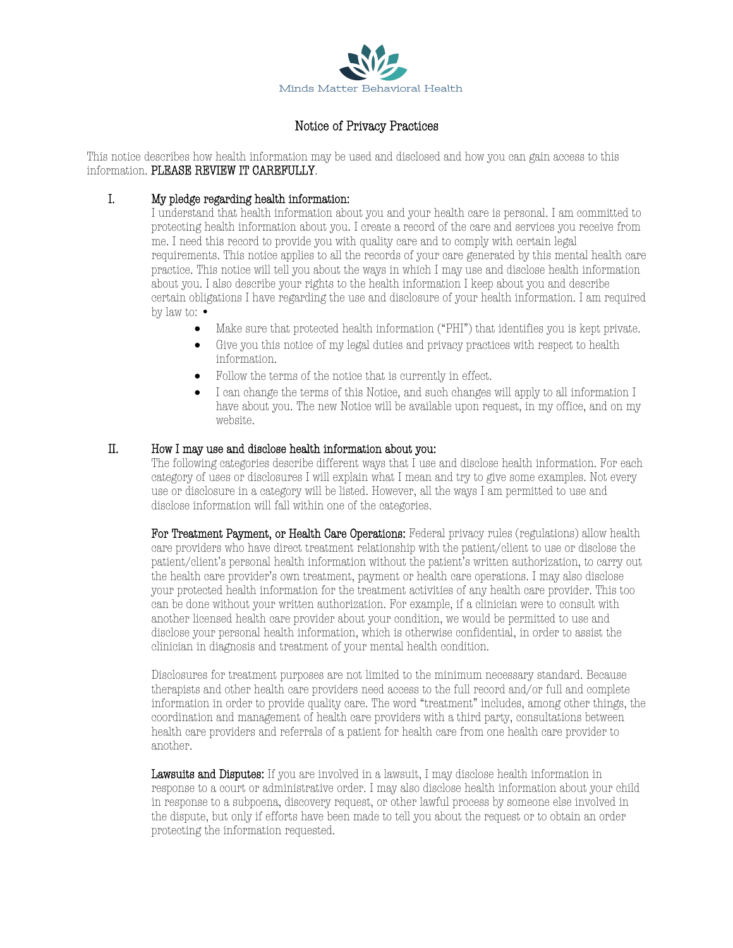

# Notice of Privacy Practices

This notice describes how health information may be used and disclosed and how you can gain access to this information. PLEASE REVIEW IT CAREFULLY.

# I. My pledge regarding health information:

I understand that health information about you and your health care is personal. I am committed to protecting health information about you. I create a record of the care and services you receive from me. I need this record to provide you with quality care and to comply with certain legal requirements. This notice applies to all the records of your care generated by this mental health care practice. This notice will tell you about the ways in which I may use and disclose health information about you. I also describe your rights to the health information I keep about you and describe certain obligations I have regarding the use and disclosure of your health information. I am required by law to: •

- Make sure that protected health information ("PHI") that identifies you is kept private.
- Give you this notice of my legal duties and privacy practices with respect to health information.
- Follow the terms of the notice that is currently in effect.
- I can change the terms of this Notice, and such changes will apply to all information I have about you. The new Notice will be available upon request, in my office, and on my website.

# II. How I may use and disclose health information about you:

The following categories describe different ways that I use and disclose health information. For each category of uses or disclosures I will explain what I mean and try to give some examples. Not every use or disclosure in a category will be listed. However, all the ways I am permitted to use and disclose information will fall within one of the categories.

For Treatment Payment, or Health Care Operations: Federal privacy rules (regulations) allow health care providers who have direct treatment relationship with the patient/client to use or disclose the patient/client's personal health information without the patient's written authorization, to carry out the health care provider's own treatment, payment or health care operations. I may also disclose your protected health information for the treatment activities of any health care provider. This too can be done without your written authorization. For example, if a clinician were to consult with another licensed health care provider about your condition, we would be permitted to use and disclose your personal health information, which is otherwise confidential, in order to assist the clinician in diagnosis and treatment of your mental health condition.

Disclosures for treatment purposes are not limited to the minimum necessary standard. Because therapists and other health care providers need access to the full record and/or full and complete information in order to provide quality care. The word "treatment" includes, among other things, the coordination and management of health care providers with a third party, consultations between health care providers and referrals of a patient for health care from one health care provider to another.

Lawsuits and Disputes: If you are involved in a lawsuit, I may disclose health information in response to a court or administrative order. I may also disclose health information about your child in response to a subpoena, discovery request, or other lawful process by someone else involved in the dispute, but only if efforts have been made to tell you about the request or to obtain an order protecting the information requested.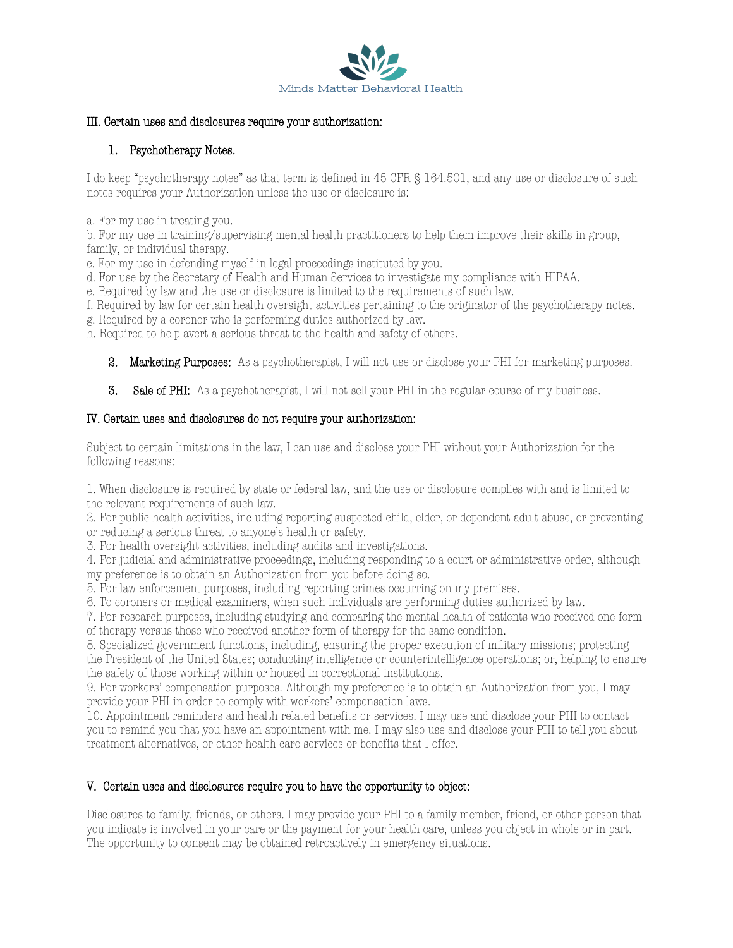

#### III. Certain uses and disclosures require your authorization:

# 1. Psychotherapy Notes.

I do keep "psychotherapy notes" as that term is defined in 45 CFR § 164.501, and any use or disclosure of such notes requires your Authorization unless the use or disclosure is:

a. For my use in treating you.

b. For my use in training/supervising mental health practitioners to help them improve their skills in group, family, or individual therapy.

c. For my use in defending myself in legal proceedings instituted by you.

d. For use by the Secretary of Health and Human Services to investigate my compliance with HIPAA.

e. Required by law and the use or disclosure is limited to the requirements of such law.

f. Required by law for certain health oversight activities pertaining to the originator of the psychotherapy notes.

g. Required by a coroner who is performing duties authorized by law.

h. Required to help avert a serious threat to the health and safety of others.

- 2. Marketing Purposes: As a psychotherapist, I will not use or disclose your PHI for marketing purposes.
- 3. Sale of PHI: As a psychotherapist, I will not sell your PHI in the regular course of my business.

# IV. Certain uses and disclosures do not require your authorization:

Subject to certain limitations in the law, I can use and disclose your PHI without your Authorization for the following reasons:

1. When disclosure is required by state or federal law, and the use or disclosure complies with and is limited to the relevant requirements of such law.

2. For public health activities, including reporting suspected child, elder, or dependent adult abuse, or preventing or reducing a serious threat to anyone's health or safety.

3. For health oversight activities, including audits and investigations.

4. For judicial and administrative proceedings, including responding to a court or administrative order, although my preference is to obtain an Authorization from you before doing so.

5. For law enforcement purposes, including reporting crimes occurring on my premises.

6. To coroners or medical examiners, when such individuals are performing duties authorized by law.

7. For research purposes, including studying and comparing the mental health of patients who received one form of therapy versus those who received another form of therapy for the same condition.

8. Specialized government functions, including, ensuring the proper execution of military missions; protecting the President of the United States; conducting intelligence or counterintelligence operations; or, helping to ensure the safety of those working within or housed in correctional institutions.

9. For workers' compensation purposes. Although my preference is to obtain an Authorization from you, I may provide your PHI in order to comply with workers' compensation laws.

10. Appointment reminders and health related benefits or services. I may use and disclose your PHI to contact you to remind you that you have an appointment with me. I may also use and disclose your PHI to tell you about treatment alternatives, or other health care services or benefits that I offer.

# V. Certain uses and disclosures require you to have the opportunity to object:

Disclosures to family, friends, or others. I may provide your PHI to a family member, friend, or other person that you indicate is involved in your care or the payment for your health care, unless you object in whole or in part. The opportunity to consent may be obtained retroactively in emergency situations.